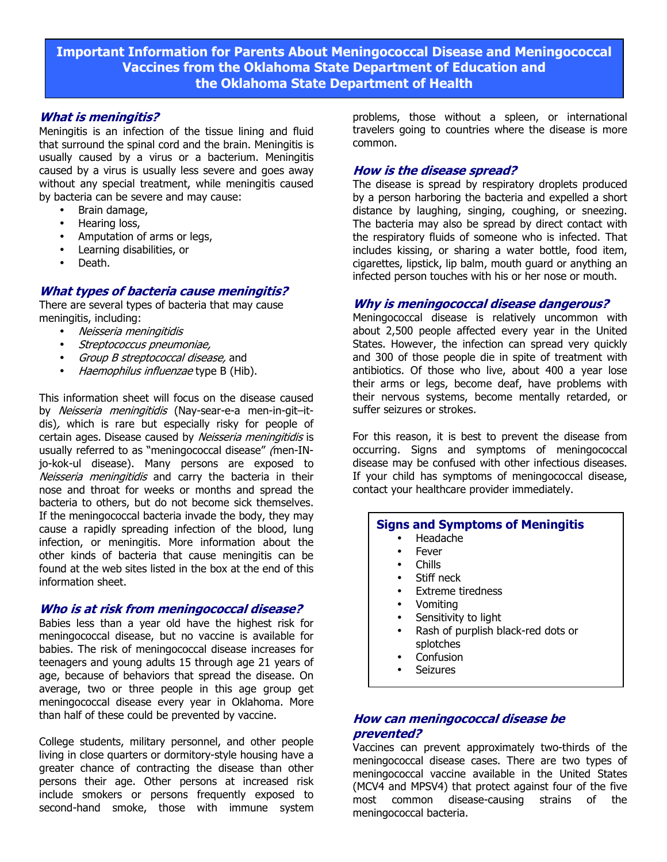**Important Information for Parents About Meningococcal Disease and Meningococcal Vaccines from the Oklahoma State Department of Education and the Oklahoma State Department of Health** 

## **What is meningitis?**

Meningitis is an infection of the tissue lining and fluid that surround the spinal cord and the brain. Meningitis is usually caused by a virus or a bacterium. Meningitis caused by a virus is usually less severe and goes away without any special treatment, while meningitis caused by bacteria can be severe and may cause:

- Brain damage,
- Hearing loss,
- Amputation of arms or legs,
- Learning disabilities, or
- Death.

## **What types of bacteria cause meningitis?**

There are several types of bacteria that may cause meningitis, including:

- Neisseria meningitidis
- Streptococcus pneumoniae,
- Group B streptococcal disease, and
- Haemophilus influenzae type B (Hib).

This information sheet will focus on the disease caused by Neisseria meningitidis (Nay-sear-e-a men-in-git–itdis), which is rare but especially risky for people of certain ages. Disease caused by Neisseria meningitidis is usually referred to as "meningococcal disease" (men-INjo-kok-ul disease). Many persons are exposed to Neisseria meningitidis and carry the bacteria in their nose and throat for weeks or months and spread the bacteria to others, but do not become sick themselves. If the meningococcal bacteria invade the body, they may cause a rapidly spreading infection of the blood, lung infection, or meningitis. More information about the other kinds of bacteria that cause meningitis can be found at the web sites listed in the box at the end of this information sheet.

#### **Who is at risk from meningococcal disease?**

Babies less than a year old have the highest risk for meningococcal disease, but no vaccine is available for babies. The risk of meningococcal disease increases for teenagers and young adults 15 through age 21 years of age, because of behaviors that spread the disease. On average, two or three people in this age group get meningococcal disease every year in Oklahoma. More than half of these could be prevented by vaccine.

College students, military personnel, and other people living in close quarters or dormitory-style housing have a greater chance of contracting the disease than other persons their age. Other persons at increased risk include smokers or persons frequently exposed to second-hand smoke, those with immune system

problems, those without a spleen, or international travelers going to countries where the disease is more common.

#### **How is the disease spread?**

The disease is spread by respiratory droplets produced by a person harboring the bacteria and expelled a short distance by laughing, singing, coughing, or sneezing. The bacteria may also be spread by direct contact with the respiratory fluids of someone who is infected. That includes kissing, or sharing a water bottle, food item, cigarettes, lipstick, lip balm, mouth guard or anything an infected person touches with his or her nose or mouth.

#### **Why is meningococcal disease dangerous?**

Meningococcal disease is relatively uncommon with about 2,500 people affected every year in the United States. However, the infection can spread very quickly and 300 of those people die in spite of treatment with antibiotics. Of those who live, about 400 a year lose their arms or legs, become deaf, have problems with their nervous systems, become mentally retarded, or suffer seizures or strokes.

For this reason, it is best to prevent the disease from occurring. Signs and symptoms of meningococcal disease may be confused with other infectious diseases. If your child has symptoms of meningococcal disease, contact your healthcare provider immediately.

#### **Signs and Symptoms of Meningitis**

- Headache
- **Fever**
- Chills
- Stiff neck
- Extreme tiredness
- Vomiting
- Sensitivity to light
- Rash of purplish black-red dots or splotches
- **Confusion**
- **Seizures**

## **How can meningococcal disease be prevented?**

Vaccines can prevent approximately two-thirds of the meningococcal disease cases. There are two types of meningococcal vaccine available in the United States (MCV4 and MPSV4) that protect against four of the five most common disease-causing strains of the meningococcal bacteria.